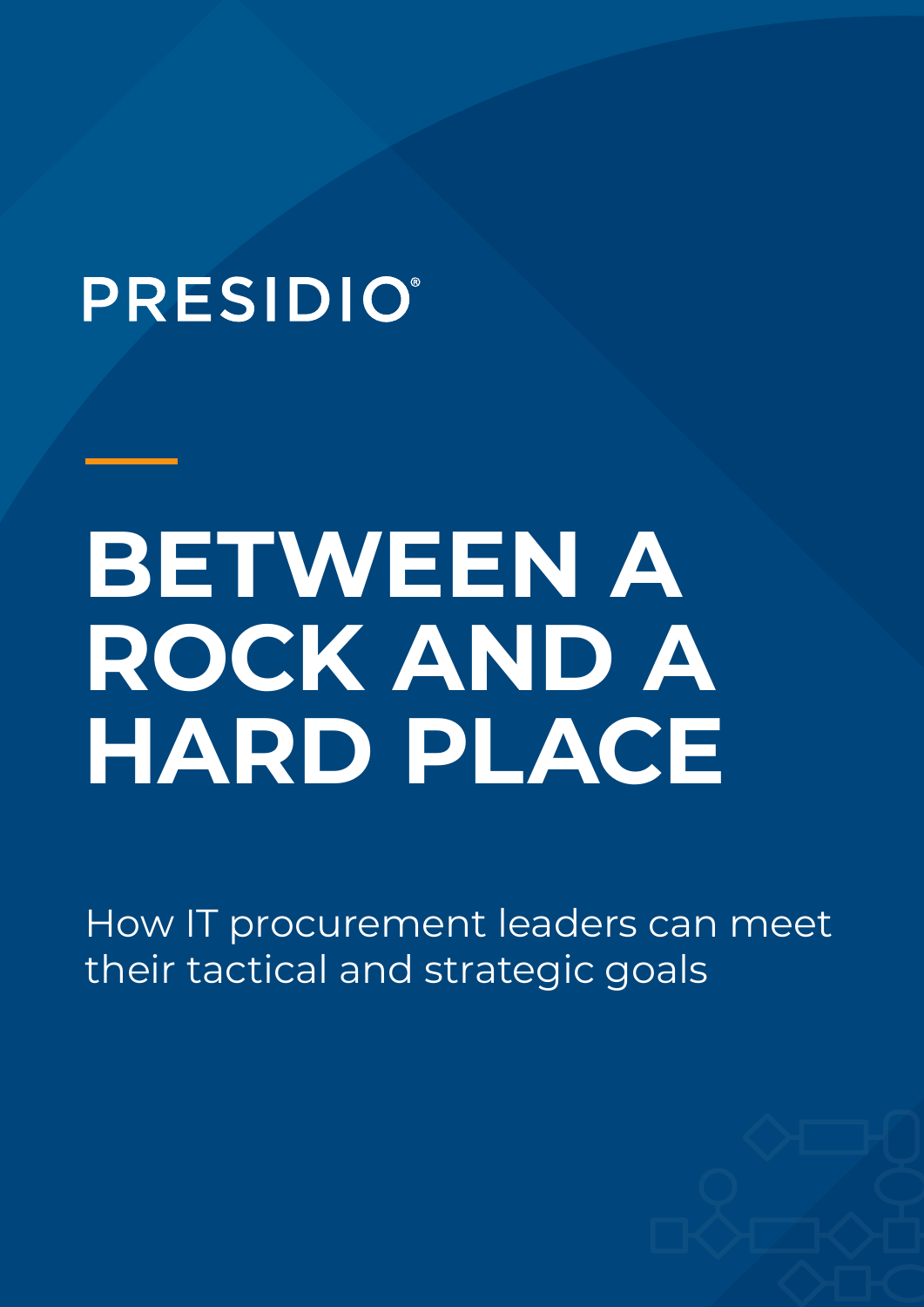## **PRESIDIO®**

## **BETWEEN A ROCK AND A HARD PLACE**

How IT procurement leaders can meet their tactical and strategic goals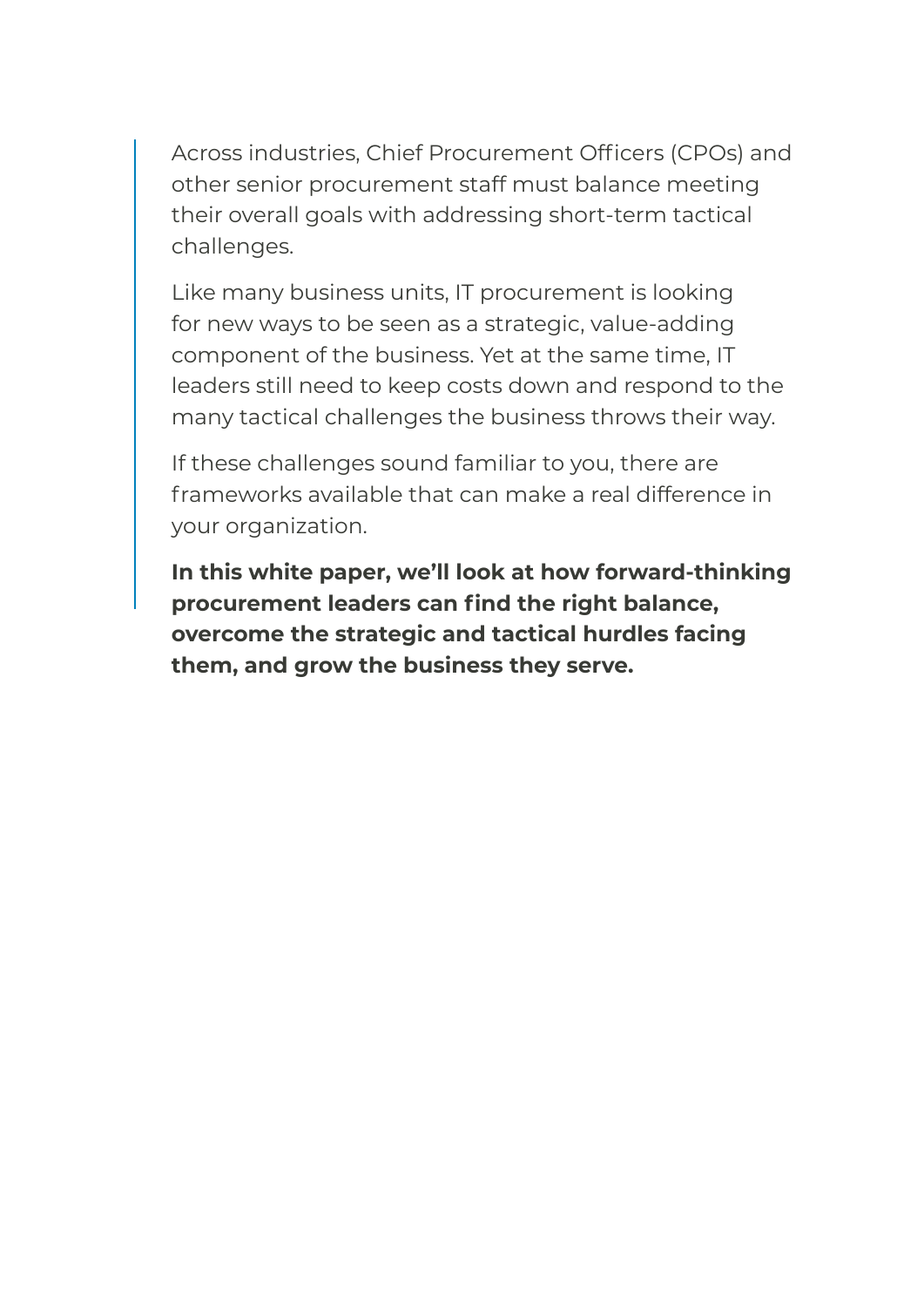Across industries, Chief Procurement Officers (CPOs) and other senior procurement staff must balance meeting their overall goals with addressing short-term tactical challenges.

Like many business units, IT procurement is looking for new ways to be seen as a strategic, value-adding component of the business. Yet at the same time, IT leaders still need to keep costs down and respond to the many tactical challenges the business throws their way.

If these challenges sound familiar to you, there are frameworks available that can make a real difference in your organization.

**In this white paper, we'll look at how forward-thinking procurement leaders can find the right balance, overcome the strategic and tactical hurdles facing them, and grow the business they serve.**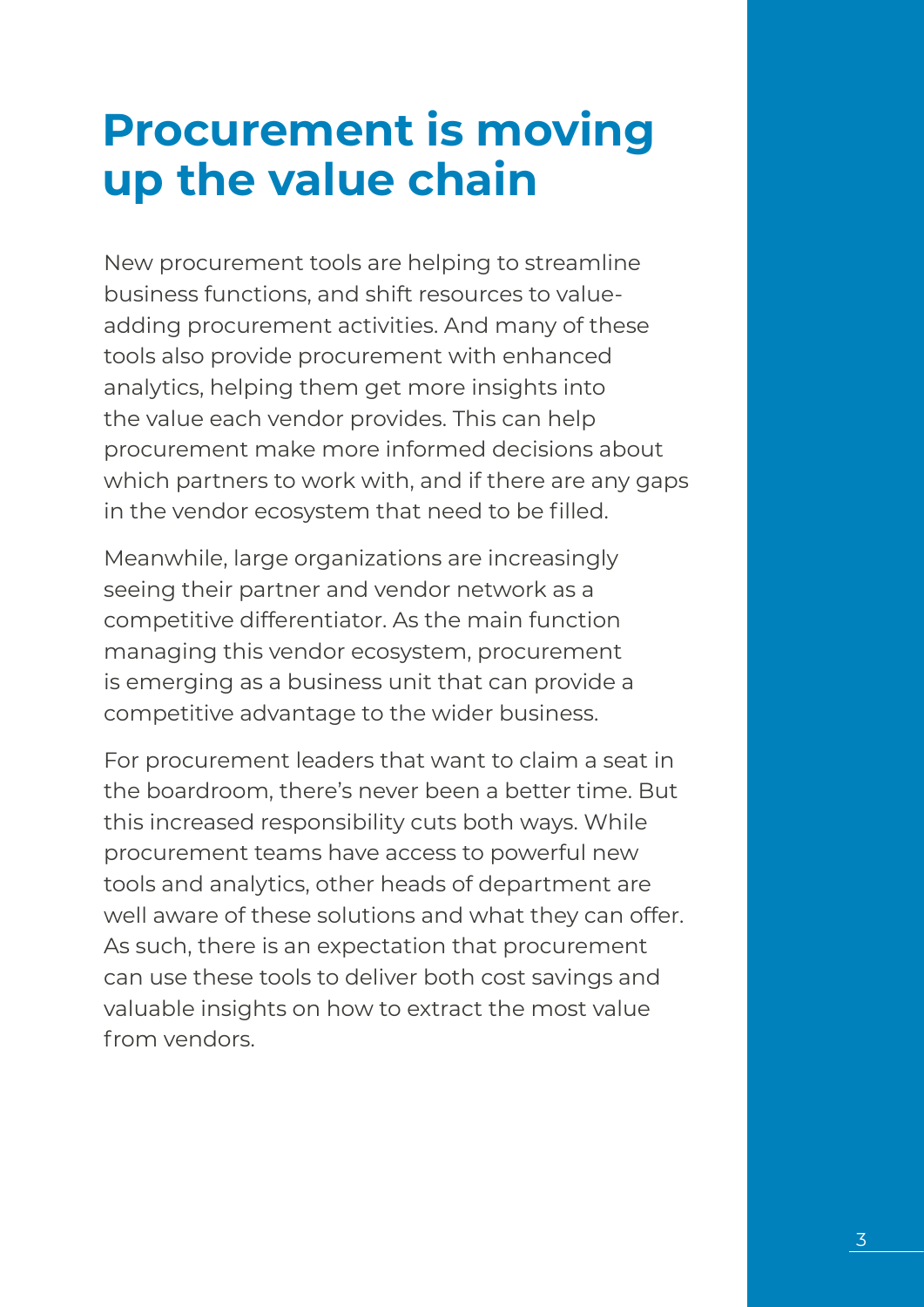### **Procurement is moving up the value chain**

New procurement tools are helping to streamline business functions, and shift resources to valueadding procurement activities. And many of these tools also provide procurement with enhanced analytics, helping them get more insights into the value each vendor provides. This can help procurement make more informed decisions about which partners to work with, and if there are any gaps in the vendor ecosystem that need to be filled.

Meanwhile, large organizations are increasingly seeing their partner and vendor network as a competitive differentiator. As the main function managing this vendor ecosystem, procurement is emerging as a business unit that can provide a competitive advantage to the wider business.

For procurement leaders that want to claim a seat in the boardroom, there's never been a better time. But this increased responsibility cuts both ways. While procurement teams have access to powerful new tools and analytics, other heads of department are well aware of these solutions and what they can offer. As such, there is an expectation that procurement can use these tools to deliver both cost savings and valuable insights on how to extract the most value from vendors.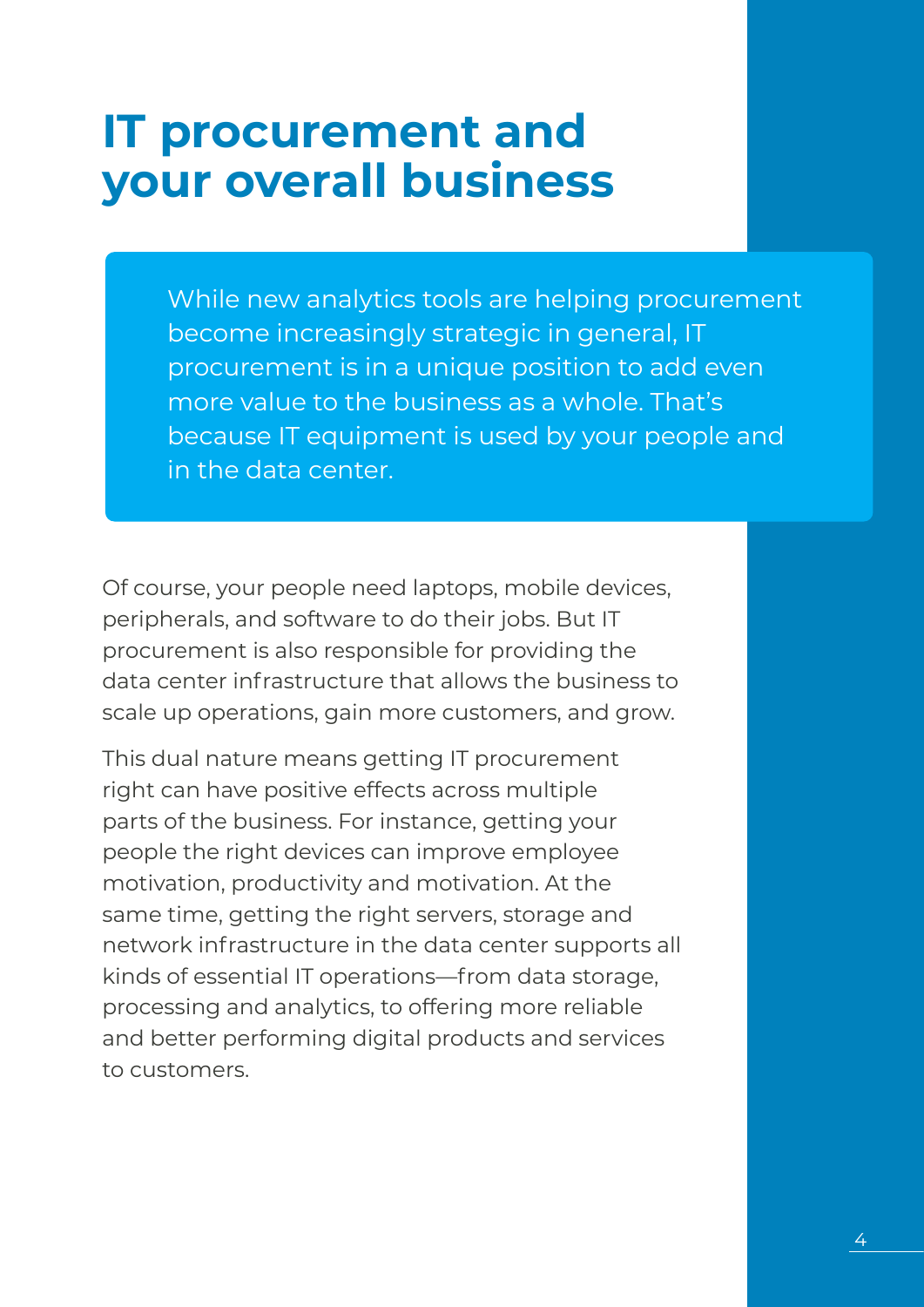### **IT procurement and your overall business**

While new analytics tools are helping procurement become increasingly strategic in general, IT procurement is in a unique position to add even more value to the business as a whole. That's because IT equipment is used by your people and in the data center.

Of course, your people need laptops, mobile devices, peripherals, and software to do their jobs. But IT procurement is also responsible for providing the data center infrastructure that allows the business to scale up operations, gain more customers, and grow.

This dual nature means getting IT procurement right can have positive effects across multiple parts of the business. For instance, getting your people the right devices can improve employee motivation, productivity and motivation. At the same time, getting the right servers, storage and network infrastructure in the data center supports all kinds of essential IT operations—from data storage, processing and analytics, to offering more reliable and better performing digital products and services to customers.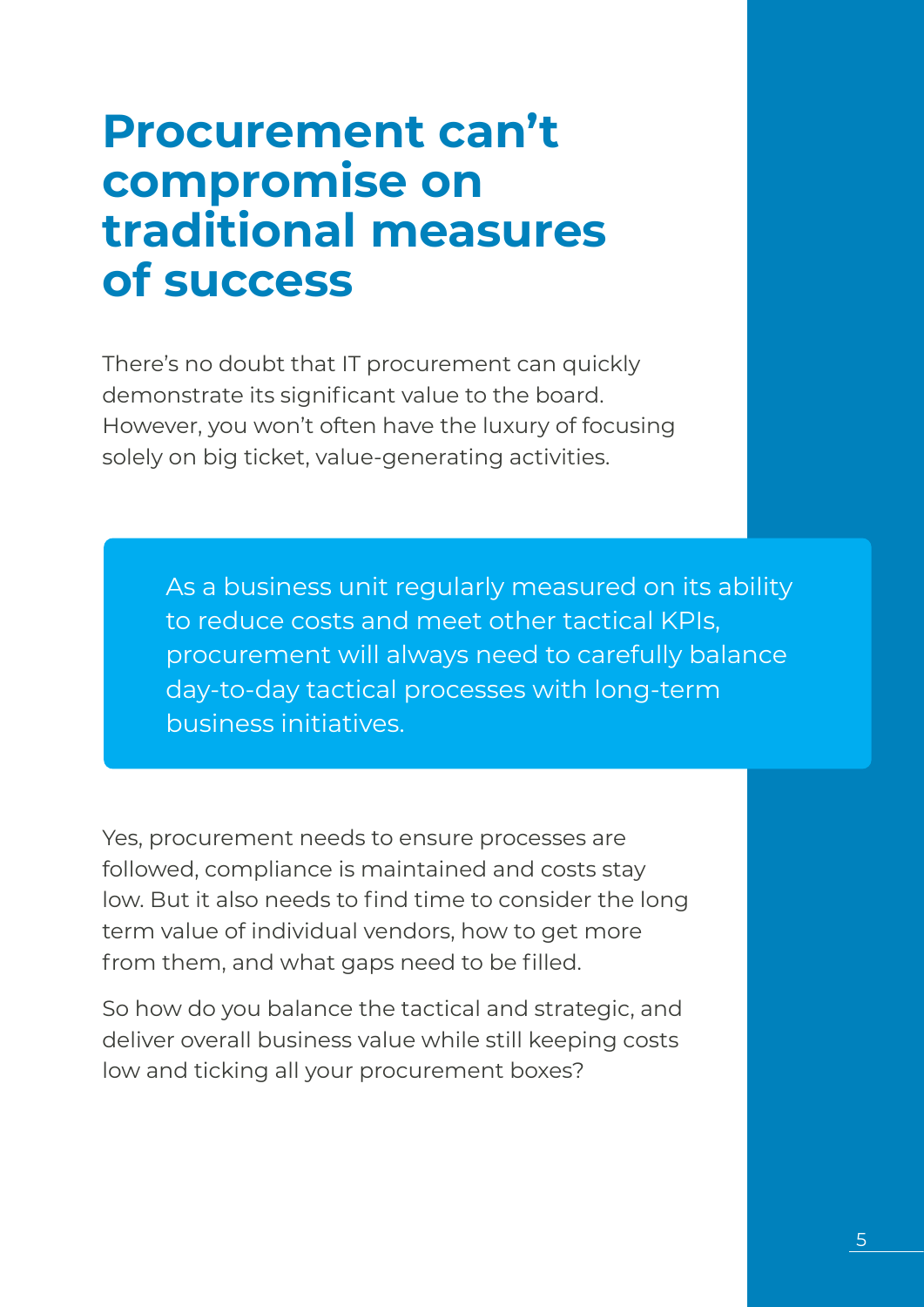### **Procurement can't compromise on traditional measures of success**

There's no doubt that IT procurement can quickly demonstrate its significant value to the board. However, you won't often have the luxury of focusing solely on big ticket, value-generating activities.

> As a business unit regularly measured on its ability to reduce costs and meet other tactical KPIs, procurement will always need to carefully balance day-to-day tactical processes with long-term business initiatives.

Yes, procurement needs to ensure processes are followed, compliance is maintained and costs stay low. But it also needs to find time to consider the long term value of individual vendors, how to get more from them, and what gaps need to be filled.

So how do you balance the tactical and strategic, and deliver overall business value while still keeping costs low and ticking all your procurement boxes?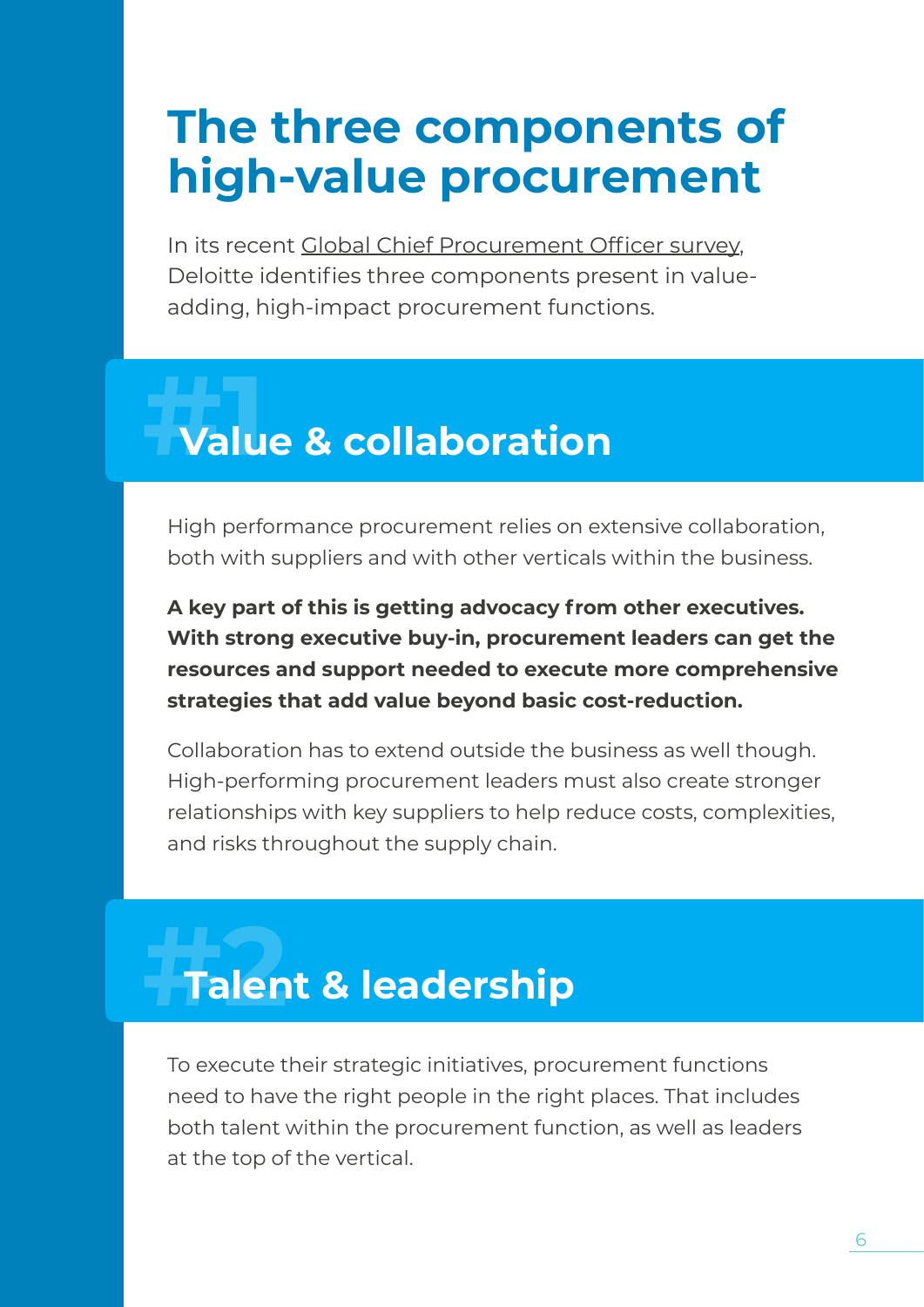### **The three components of high-value procurement**

In its recent Global Chief Procurement Officer survey, Deloitte identifies three components present in valueadding, high-impact procurement functions.

### **Value & collaboration** *<u>1</u>*<br>**Malu**

High performance procurement relies on extensive collaboration, both with suppliers and with other verticals within the business.

**A key part of this is getting advocacy from other executives. With strong executive buy-in, procurement leaders can get the resources and support needed to execute more comprehensive strategies that add value beyond basic cost-reduction.**

Collaboration has to extend outside the business as well though. High-performing procurement leaders must also create stronger relationships with key suppliers to help reduce costs, complexities, and risks throughout the supply chain.

### *<u>Talent & leadership</u>*

To execute their strategic initiatives, procurement functions need to have the right people in the right places. That includes both talent within the procurement function, as well as leaders at the top of the vertical.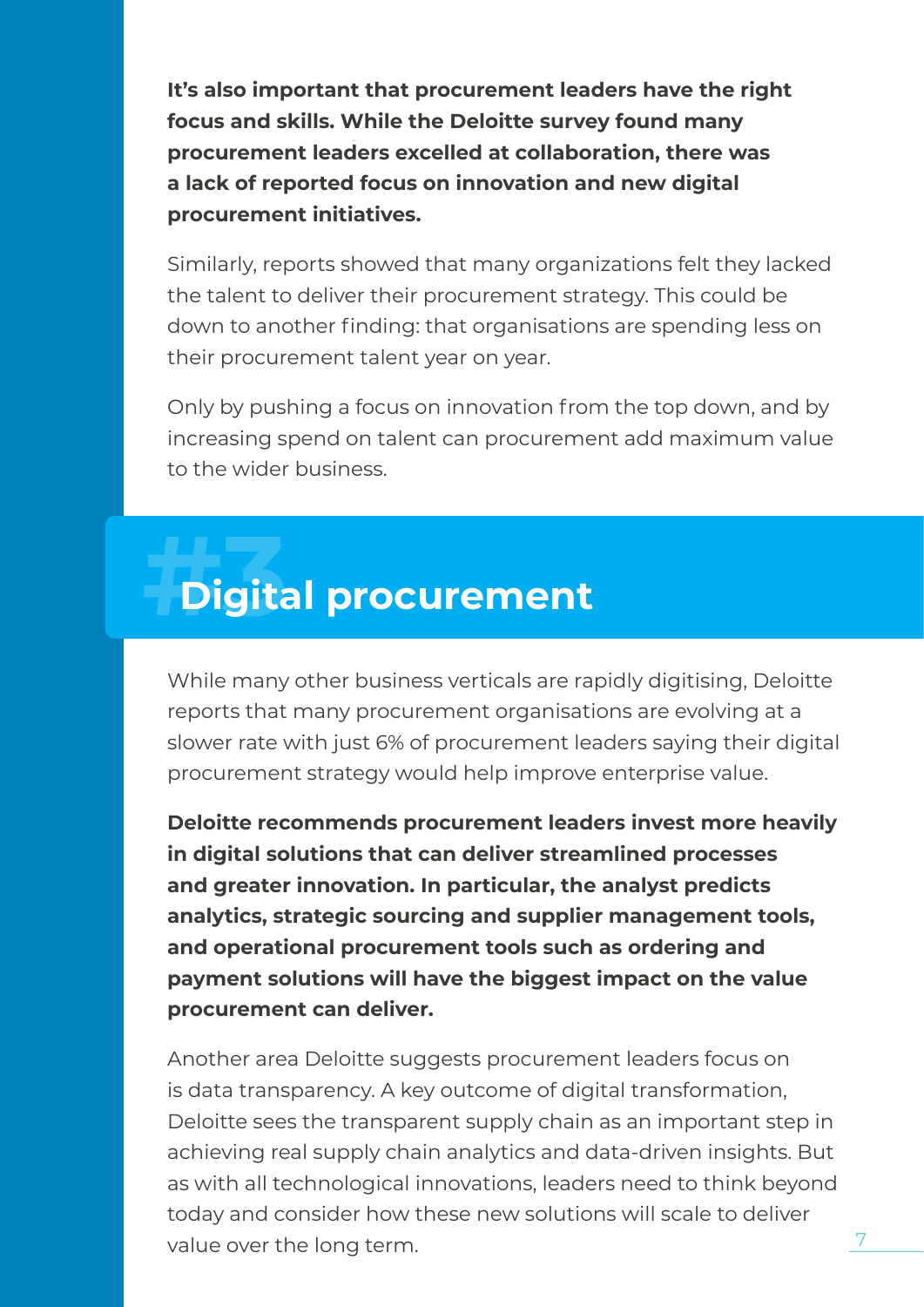**It's also important that procurement leaders have the right focus and skills. While the Deloitte survey found many procurement leaders excelled at collaboration, there was a lack of reported focus on innovation and new digital procurement initiatives.**

Similarly, reports showed that many organizations felt they lacked the talent to deliver their procurement strategy. This could be down to another finding: that organisations are spending less on their procurement talent year on year.

Only by pushing a focus on innovation from the top down, and by increasing spend on talent can procurement add maximum value to the wider business.

### *<u>Digital procurement</u>*

While many other business verticals are rapidly digitising, Deloitte reports that many procurement organisations are evolving at a slower rate with just 6% of procurement leaders saying their digital procurement strategy would help improve enterprise value.

**Deloitte recommends procurement leaders invest more heavily in digital solutions that can deliver streamlined processes and greater innovation. In particular, the analyst predicts analytics, strategic sourcing and supplier management tools, and operational procurement tools such as ordering and payment solutions will have the biggest impact on the value procurement can deliver.**

Another area Deloitte suggests procurement leaders focus on is data transparency. A key outcome of digital transformation, Deloitte sees the transparent supply chain as an important step in achieving real supply chain analytics and data-driven insights. But as with all technological innovations, leaders need to think beyond today and consider how these new solutions will scale to deliver value over the long term.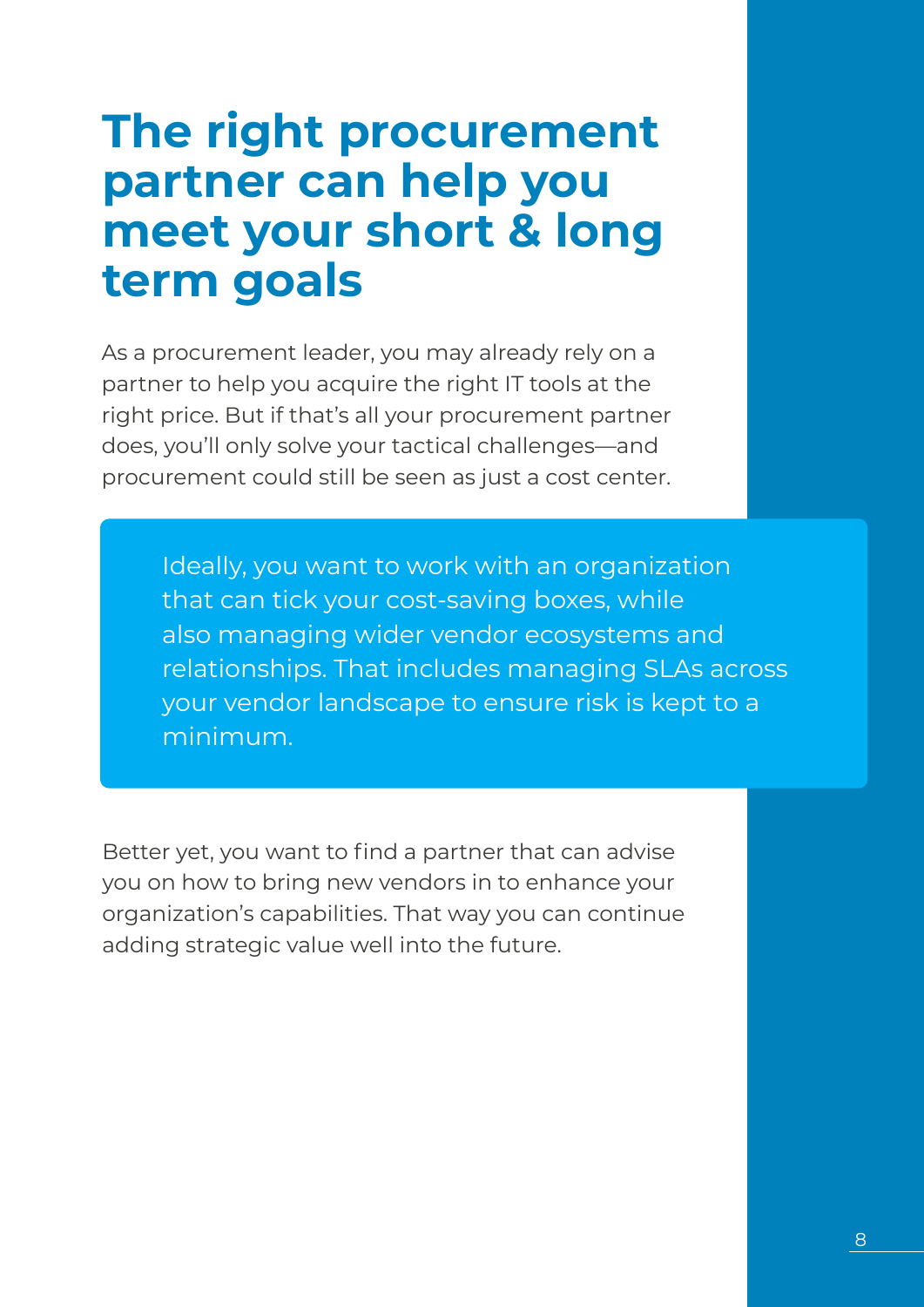### **The right procurement partner can help you meet your short & long term goals**

As a procurement leader, you may already rely on a partner to help you acquire the right IT tools at the right price. But if that's all your procurement partner does, you'll only solve your tactical challenges—and procurement could still be seen as just a cost center.

> Ideally, you want to work with an organization that can tick your cost-saving boxes, while also managing wider vendor ecosystems and relationships. That includes managing SLAs across your vendor landscape to ensure risk is kept to a minimum.

Better yet, you want to find a partner that can advise you on how to bring new vendors in to enhance your organization's capabilities. That way you can continue adding strategic value well into the future.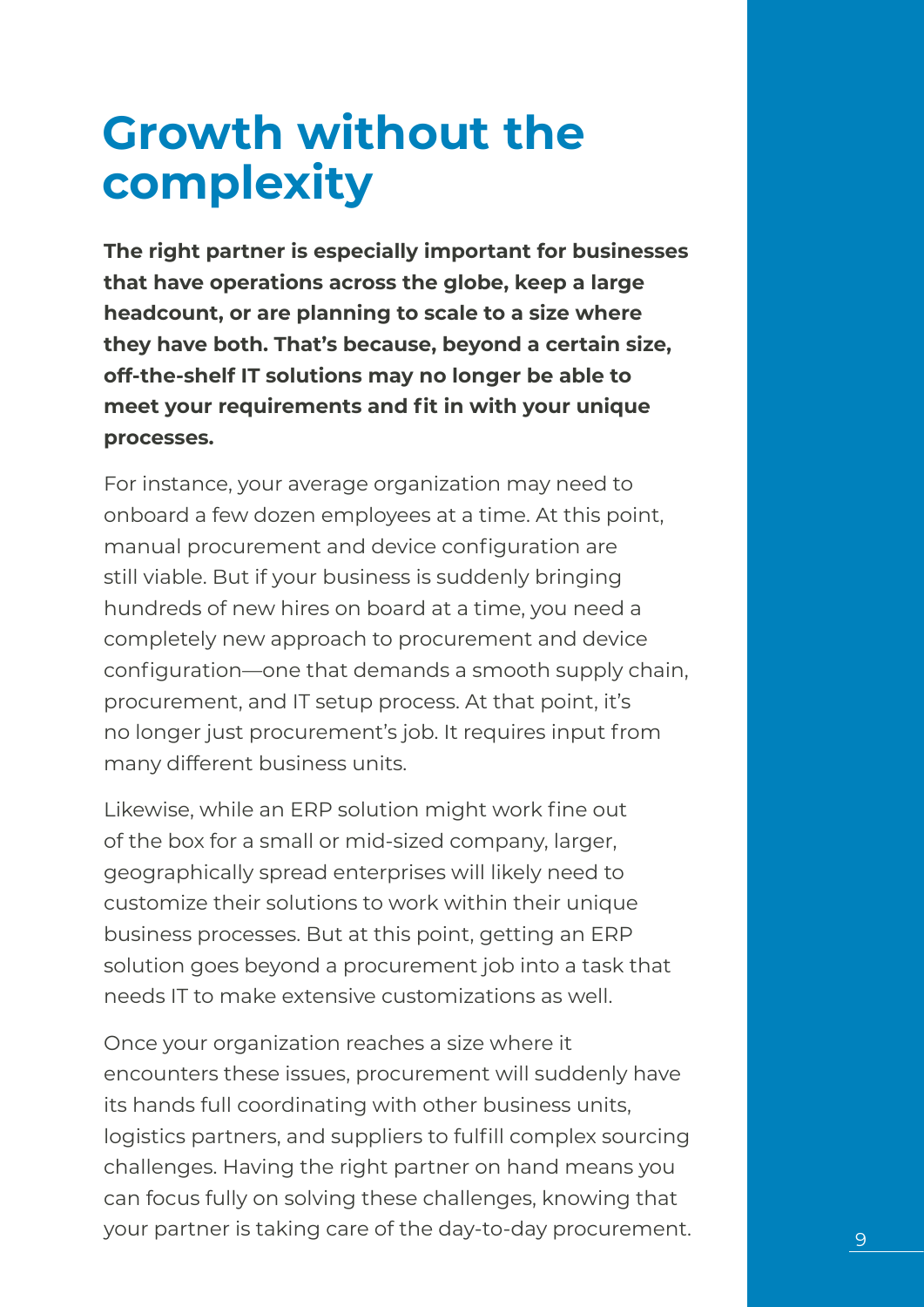### **Growth without the complexity**

**The right partner is especially important for businesses that have operations across the globe, keep a large headcount, or are planning to scale to a size where they have both. That's because, beyond a certain size, off-the-shelf IT solutions may no longer be able to meet your requirements and fit in with your unique processes.** 

For instance, your average organization may need to onboard a few dozen employees at a time. At this point, manual procurement and device configuration are still viable. But if your business is suddenly bringing hundreds of new hires on board at a time, you need a completely new approach to procurement and device configuration—one that demands a smooth supply chain, procurement, and IT setup process. At that point, it's no longer just procurement's job. It requires input from many different business units.

Likewise, while an ERP solution might work fine out of the box for a small or mid-sized company, larger, geographically spread enterprises will likely need to customize their solutions to work within their unique business processes. But at this point, getting an ERP solution goes beyond a procurement job into a task that needs IT to make extensive customizations as well.

Once your organization reaches a size where it encounters these issues, procurement will suddenly have its hands full coordinating with other business units, logistics partners, and suppliers to fulfill complex sourcing challenges. Having the right partner on hand means you can focus fully on solving these challenges, knowing that your partner is taking care of the day-to-day procurement. 9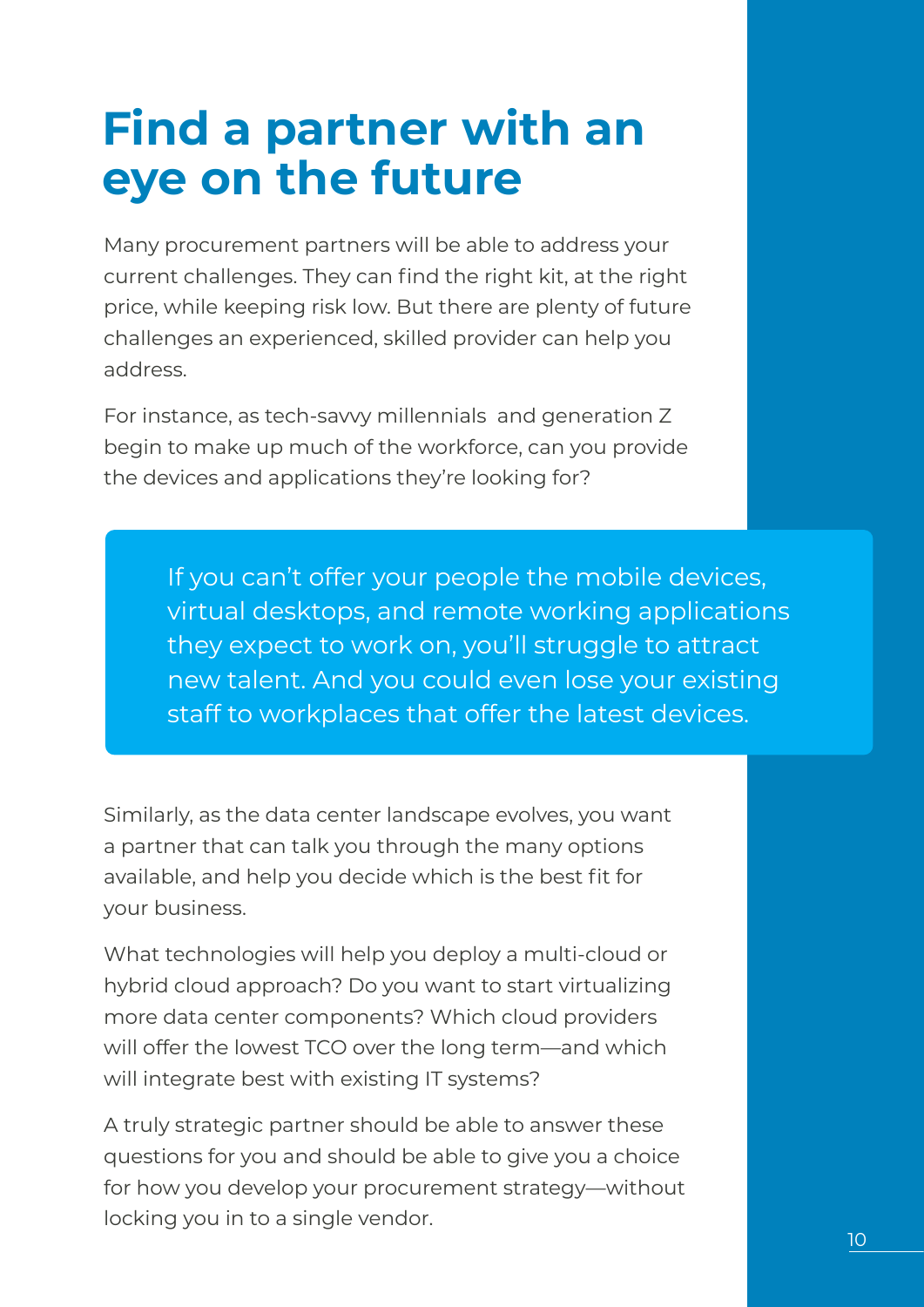### **Find a partner with an eye on the future**

Many procurement partners will be able to address your current challenges. They can find the right kit, at the right price, while keeping risk low. But there are plenty of future challenges an experienced, skilled provider can help you address.

For instance, as tech-savvy millennials and generation Z begin to make up much of the workforce, can you provide the devices and applications they're looking for?

> If you can't offer your people the mobile devices, virtual desktops, and remote working applications they expect to work on, you'll struggle to attract new talent. And you could even lose your existing staff to workplaces that offer the latest devices.

Similarly, as the data center landscape evolves, you want a partner that can talk you through the many options available, and help you decide which is the best fit for your business.

What technologies will help you deploy a multi-cloud or hybrid cloud approach? Do you want to start virtualizing more data center components? Which cloud providers will offer the lowest TCO over the long term—and which will integrate best with existing IT systems?

A truly strategic partner should be able to answer these questions for you and should be able to give you a choice for how you develop your procurement strategy—without locking you in to a single vendor.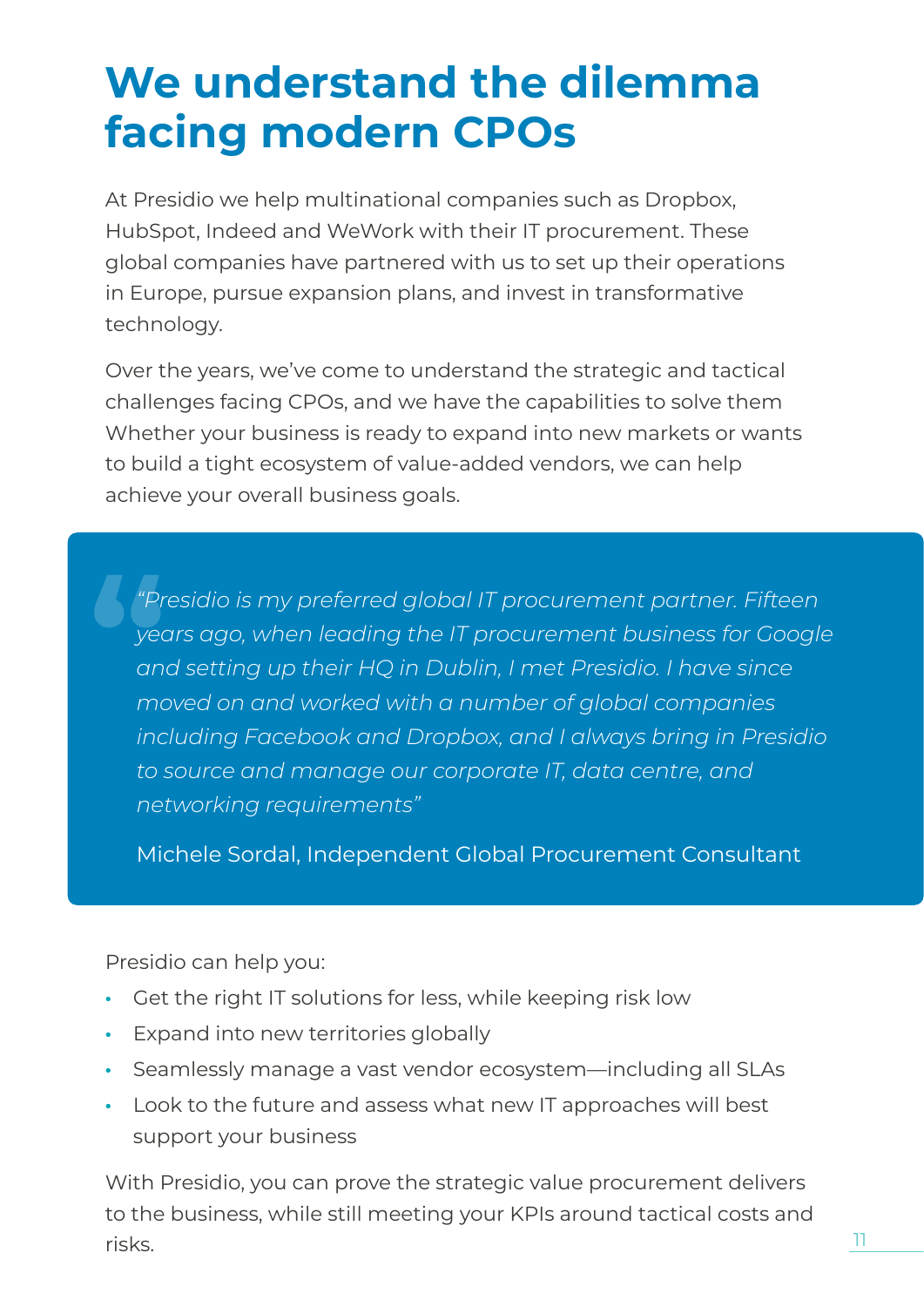### **We understand the dilemma facing modern CPOs**

At Presidio we help multinational companies such as Dropbox, HubSpot, Indeed and WeWork with their IT procurement. These global companies have partnered with us to set up their operations in Europe, pursue expansion plans, and invest in transformative technology.

Over the years, we've come to understand the strategic and tactical challenges facing CPOs, and we have the capabilities to solve them Whether your business is ready to expand into new markets or wants to build a tight ecosystem of value-added vendors, we can help achieve your overall business goals.

*"Presidio is my preferred global IT procurement partner. Fifteen years ago, when leading the IT procurement business for Google and setting up their HQ in Dublin, I met Presidio. I have since moved on and worked with a number of global companies including Facebook and Dropbox, and I always bring in Presidio to source and manage our corporate IT, data centre, and networking requirements"* **a**<br>**1**<br>**1**<br>**1**<br>**1**<br><br>**1**<br><br> **1**<br>

Michele Sordal, Independent Global Procurement Consultant

Presidio can help you:

- Get the right IT solutions for less, while keeping risk low
- Expand into new territories globally
- Seamlessly manage a vast vendor ecosystem—including all SLAs
- Look to the future and assess what new IT approaches will best support your business

With Presidio, you can prove the strategic value procurement delivers to the business, while still meeting your KPIs around tactical costs and risks.